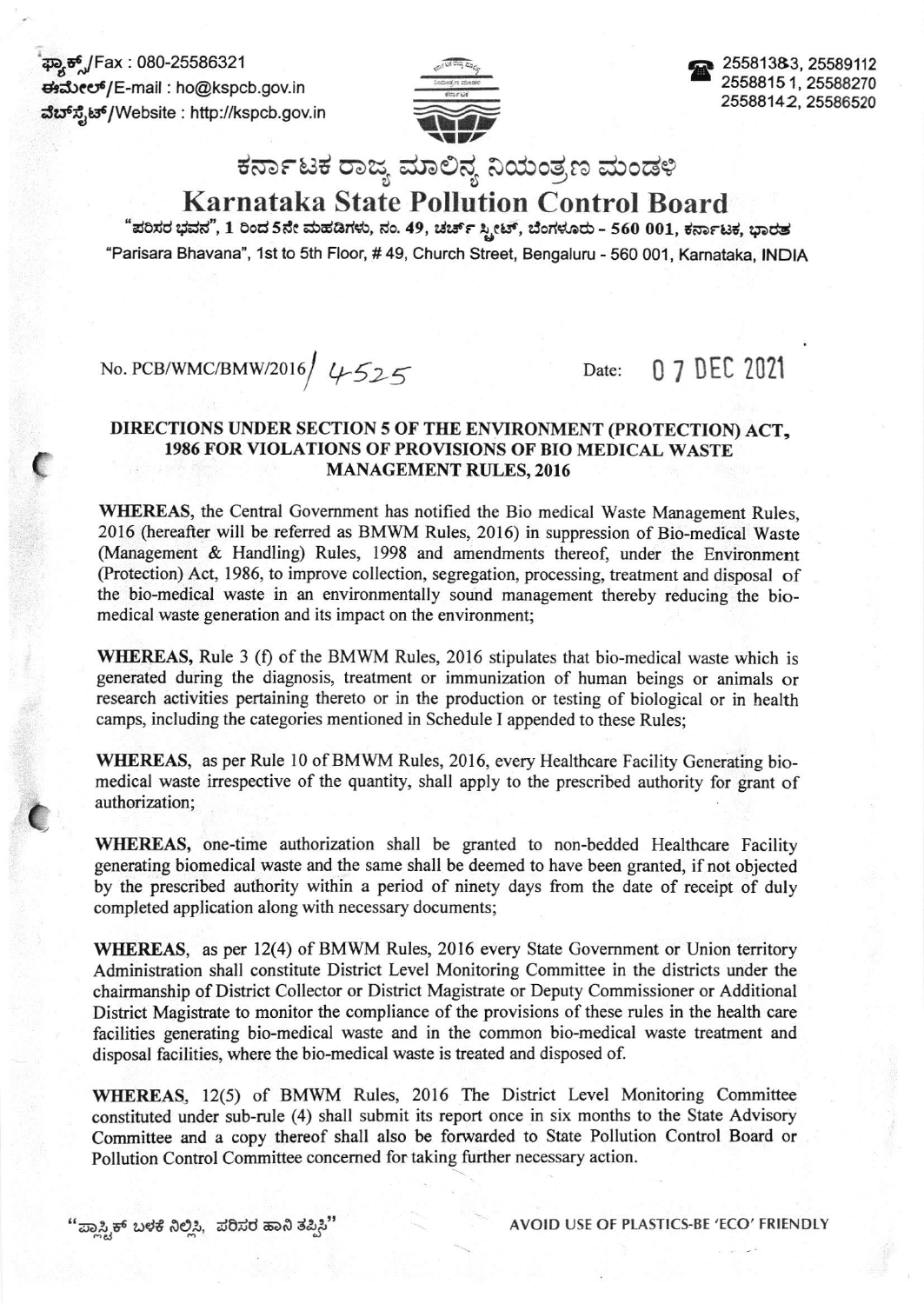ಕ್ಲ್ಯಾಕ್ಸ್/Fax : 080-25586321 drdreer6/E-mail : ho@kspcb.gov.in ವೆಬ್ ಸೈಟ್/Website : http://kspcb.gov.in

 $\mathbf C$ 

 $\mathbf C$ 



a 25581383, 25589112 25s8815 1, 25588270 25588142,25586s20

## ಕರ್ನಾಟಕ ರಾಜ್ಯ ಮಾಲಿನ್ಯ ನಿಯಂತ್ರಣ ಮಂಡಳಿ

## Karnataka State Pollution Control Board

"ಪರಿಸರ ಭವನ", 1 ರಿಂದ 5ನೇ ಮಹಡಿಗಳು, ನಂ. 49, ಚರ್ಚ್ ಸ್ಪೀಟ್, ಬೆಂಗಳೂರು - 560 001, ಕರ್ನಾಟಕ, ಭಾರತ "Parisara Bhavana", 1st to 5th Floor, #49, Church Street, Bengaluru - 560 001, Karnataka, INDIA

## No. PCB/WMC/BMW/2016  $4525$  Date: 0 7 DEC 2021

## DIRECTIONS UNDER SECTION 5 OF THE ENVIRONMENT (PROTECTION) ACT, 1986 FOR \'IOLATIONS OF PROVISIONS OF BIO MEDICAL WASTE MANAGEMENT RULES,2016

WHEREAS, the Central Government has notified the Bio medical Waste Management Rules, 2016 (hereafter will be refened as BMWM Rules, 2016) in suppression of Bio-medical Waste (Management & Handling) Rules, 1998 and amendments thereof, under the Environment (Protection) Act, 1986, to improve collection, segregation, processing, treatment and disposal of the bio-medical waste in an environmentally sound management thereby reducing the biomedical waste generation and its impact on the environment;

WHEREAS, Rule 3 (f) of the BMWM Rules, 2016 stipulates that bio-medical waste which is generated during the diagnosis, treatment or immunization of human beings or animals or research activities pertaining thereto or in the production or testing of biological or in health camps, including the categories mentioned in Schedule I appended to these Rules;

WHEREAS, as per Rule 10 of BMWM Rules, 2016, every Healthcare Facility Generating biomedical waste irrespective of the quantity, shall apply to the prescribed authority for grant of authorization;

WHEREAS, one-time authorization shall be granted to non-bedded Healthcare Facility generating biomedical waste and the same shall be deemed to have been granted, if not objected by the prescribed authority within a period of ninety days from the date of receipt of duly completed application along with necessary documents;

WHEREAS, as per 12(4) of BMWM Rules, 2016 every State Government or Union territory Administration shall constitute District Level Monitoring Committee in the districts under the chairmanship of District Collector or District Magistrate or Deputy Commissioner or Additional District Magistrate to monitor the compliance of the provisions of these rules in the health care facilities generating bio-medical waste and in the common bio-medical waste treatment and disposal facilities, where the bio-medical waste is treated and disposed of.

WHEREAS, 12(5) of BMWM Rules, 2016 The District Level Monitoring Committee constituted under sub-rule (4) shall submit its report once in six months to the State Advisory Committee and a copy thereof shall also be forwarded to State Pollution Control Board or Pollution Control Committee concemed for taking further necessary action.